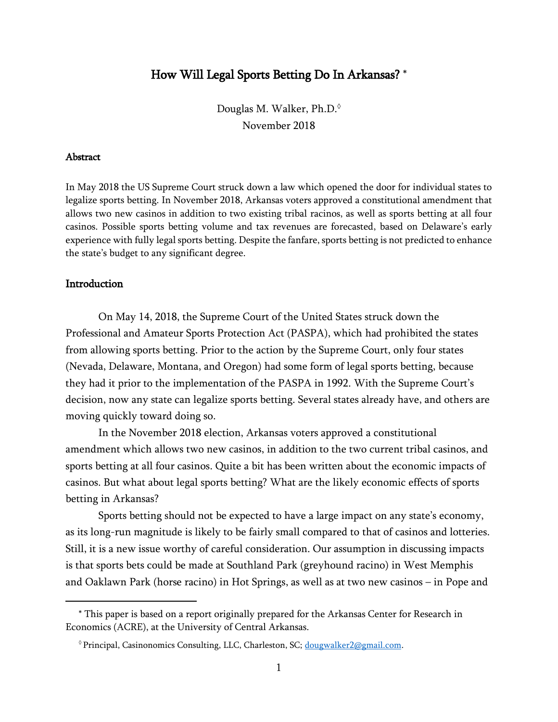# How Will Legal Sports Betting Do In Arkansas? \*

Douglas M. Walker, Ph.D. November 2018

#### **Abstract**

In May 2018 the US Supreme Court struck down a law which opened the door for individual states to legalize sports betting. In November 2018, Arkansas voters approved a constitutional amendment that allows two new casinos in addition to two existing tribal racinos, as well as sports betting at all four casinos. Possible sports betting volume and tax revenues are forecasted, based on Delaware's early experience with fully legal sports betting. Despite the fanfare, sports betting is not predicted to enhance the state's budget to any significant degree.

#### Introduction

 $\overline{a}$ 

On May 14, 2018, the Supreme Court of the United States struck down the Professional and Amateur Sports Protection Act (PASPA), which had prohibited the states from allowing sports betting. Prior to the action by the Supreme Court, only four states (Nevada, Delaware, Montana, and Oregon) had some form of legal sports betting, because they had it prior to the implementation of the PASPA in 1992. With the Supreme Court's decision, now any state can legalize sports betting. Several states already have, and others are moving quickly toward doing so.

In the November 2018 election, Arkansas voters approved a constitutional amendment which allows two new casinos, in addition to the two current tribal casinos, and sports betting at all four casinos. Quite a bit has been written about the economic impacts of casinos. But what about legal sports betting? What are the likely economic effects of sports betting in Arkansas?

Sports betting should not be expected to have a large impact on any state's economy, as its long-run magnitude is likely to be fairly small compared to that of casinos and lotteries. Still, it is a new issue worthy of careful consideration. Our assumption in discussing impacts is that sports bets could be made at Southland Park (greyhound racino) in West Memphis and Oaklawn Park (horse racino) in Hot Springs, as well as at two new casinos – in Pope and

<sup>\*</sup> This paper is based on a report originally prepared for the Arkansas Center for Research in Economics (ACRE), at the University of Central Arkansas.

<sup>&</sup>lt;sup>0</sup> Principal, Casinonomics Consulting, LLC, Charleston, SC; [dougwalker2@gmail.com.](mailto:dougwalker2@gmail.com)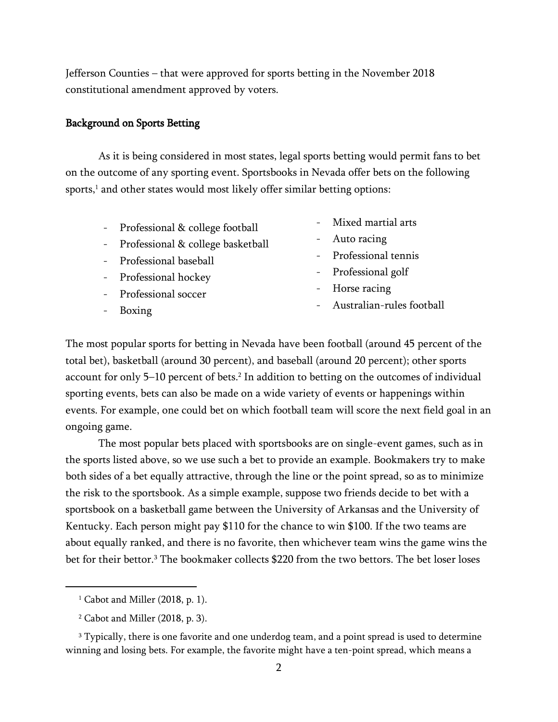Jefferson Counties – that were approved for sports betting in the November 2018 constitutional amendment approved by voters.

#### Background on Sports Betting

As it is being considered in most states, legal sports betting would permit fans to bet on the outcome of any sporting event. Sportsbooks in Nevada offer bets on the following sports, <sup>1</sup> and other states would most likely offer similar betting options:

- Professional & college football
- Professional & college basketball
- Professional baseball
- Professional hockey
- Professional soccer
- Boxing
- Mixed martial arts
- Auto racing
- Professional tennis
- Professional golf
- Horse racing
- Australian-rules football

The most popular sports for betting in Nevada have been football (around 45 percent of the total bet), basketball (around 30 percent), and baseball (around 20 percent); other sports account for only 5–10 percent of bets. 2 In addition to betting on the outcomes of individual sporting events, bets can also be made on a wide variety of events or happenings within events. For example, one could bet on which football team will score the next field goal in an ongoing game.

The most popular bets placed with sportsbooks are on single-event games, such as in the sports listed above, so we use such a bet to provide an example. Bookmakers try to make both sides of a bet equally attractive, through the line or the point spread, so as to minimize the risk to the sportsbook. As a simple example, suppose two friends decide to bet with a sportsbook on a basketball game between the University of Arkansas and the University of Kentucky. Each person might pay \$110 for the chance to win \$100. If the two teams are about equally ranked, and there is no favorite, then whichever team wins the game wins the bet for their bettor.<sup>3</sup> The bookmaker collects \$220 from the two bettors. The bet loser loses

 $\overline{a}$ 

<sup>3</sup> Typically, there is one favorite and one underdog team, and a point spread is used to determine winning and losing bets. For example, the favorite might have a ten-point spread, which means a

 $1$  Cabot and Miller (2018, p. 1).

<sup>2</sup> Cabot and Miller (2018, p. 3).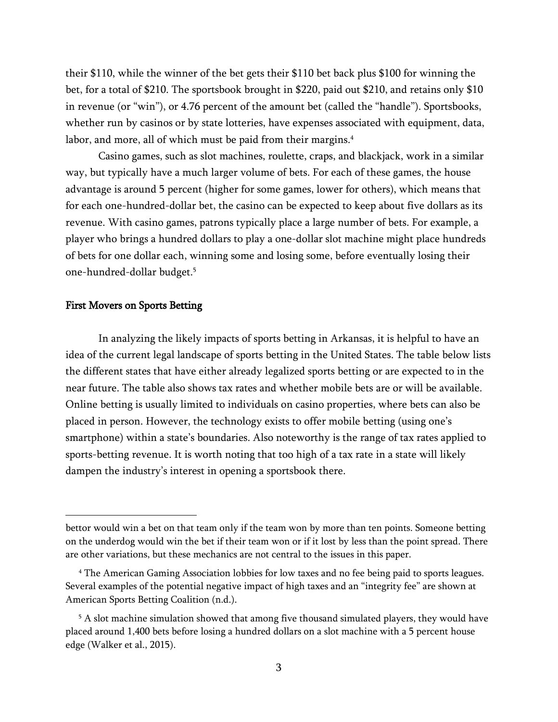their \$110, while the winner of the bet gets their \$110 bet back plus \$100 for winning the bet, for a total of \$210. The sportsbook brought in \$220, paid out \$210, and retains only \$10 in revenue (or "win"), or 4.76 percent of the amount bet (called the "handle"). Sportsbooks, whether run by casinos or by state lotteries, have expenses associated with equipment, data, labor, and more, all of which must be paid from their margins.<sup>4</sup>

Casino games, such as slot machines, roulette, craps, and blackjack, work in a similar way, but typically have a much larger volume of bets. For each of these games, the house advantage is around 5 percent (higher for some games, lower for others), which means that for each one-hundred-dollar bet, the casino can be expected to keep about five dollars as its revenue. With casino games, patrons typically place a large number of bets. For example, a player who brings a hundred dollars to play a one-dollar slot machine might place hundreds of bets for one dollar each, winning some and losing some, before eventually losing their one-hundred-dollar budget.<sup>5</sup>

## First Movers on Sports Betting

 $\overline{a}$ 

In analyzing the likely impacts of sports betting in Arkansas, it is helpful to have an idea of the current legal landscape of sports betting in the United States. The table below lists the different states that have either already legalized sports betting or are expected to in the near future. The table also shows tax rates and whether mobile bets are or will be available. Online betting is usually limited to individuals on casino properties, where bets can also be placed in person. However, the technology exists to offer mobile betting (using one's smartphone) within a state's boundaries. Also noteworthy is the range of tax rates applied to sports-betting revenue. It is worth noting that too high of a tax rate in a state will likely dampen the industry's interest in opening a sportsbook there.

bettor would win a bet on that team only if the team won by more than ten points. Someone betting on the underdog would win the bet if their team won or if it lost by less than the point spread. There are other variations, but these mechanics are not central to the issues in this paper.

<sup>4</sup> The American Gaming Association lobbies for low taxes and no fee being paid to sports leagues. Several examples of the potential negative impact of high taxes and an "integrity fee" are shown at American Sports Betting Coalition (n.d.).

<sup>&</sup>lt;sup>5</sup> A slot machine simulation showed that among five thousand simulated players, they would have placed around 1,400 bets before losing a hundred dollars on a slot machine with a 5 percent house edge (Walker et al., 2015).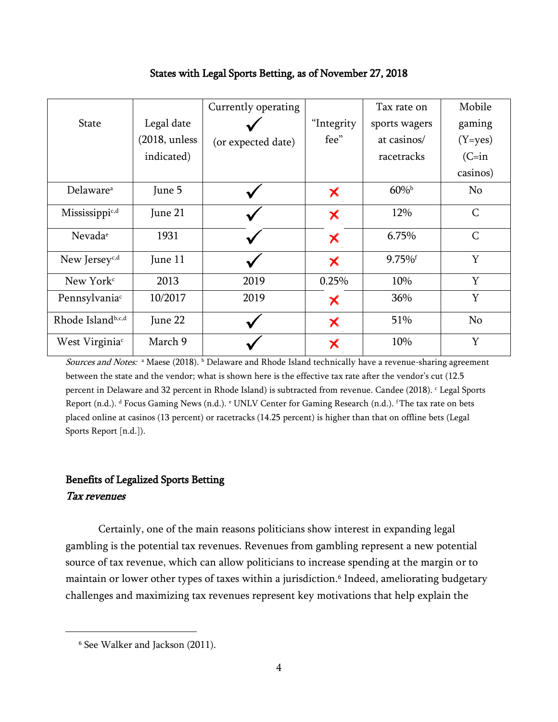|                            |                 | Currently operating |            | Tax rate on           | Mobile       |
|----------------------------|-----------------|---------------------|------------|-----------------------|--------------|
| <b>State</b>               | Legal date      |                     | "Integrity | sports wagers         | gaming       |
|                            | $(2018,$ unless | (or expected date)  | fee"       | at casinos/           | $(Y=yes)$    |
|                            | indicated)      |                     |            | racetracks            | $(C=in$      |
|                            |                 |                     |            |                       | casinos)     |
| Delaware <sup>a</sup>      | June 5          |                     | Х          | $60\%$                | No           |
| Mississippi <sup>c,d</sup> | June 21         |                     | X          | 12%                   | $\mathsf C$  |
| Nevada <sup>e</sup>        | 1931            |                     | Х          | 6.75%                 | $\mathsf{C}$ |
| New Jersey <sup>c,d</sup>  | June 11         |                     | ✕          | $9.75\%$ <sup>f</sup> | Y            |
| New York <sup>c</sup>      | 2013            | 2019                | 0.25%      | 10%                   | Y            |
| Pennsylvania <sup>c</sup>  | 10/2017         | 2019                | Х          | 36%                   | Y            |
| Rhode Islandb,c,d          | June 22         |                     | ✕          | 51%                   | No           |
| West Virginia <sup>c</sup> | March 9         |                     | ✕          | 10%                   | Y            |

# States with Legal Sports Betting, as of November 27, 2018

Sources and Notes: <sup>a</sup> Maese (2018). <sup>b</sup> Delaware and Rhode Island technically have a revenue-sharing agreement between the state and the vendor; what is shown here is the effective tax rate after the vendor's cut (12.5 percent in Delaware and 32 percent in Rhode Island) is subtracted from revenue. Candee (2018). <sup>c</sup> Legal Sports Report (n.d.). <sup>d</sup> Focus Gaming News (n.d.). <sup>e</sup> UNLV Center for Gaming Research (n.d.). <sup>f</sup>The tax rate on bets placed online at casinos (13 percent) or racetracks (14.25 percent) is higher than that on offline bets (Legal Sports Report [n.d.]).

# Benefits of Legalized Sports Betting Tax revenues

Certainly, one of the main reasons politicians show interest in expanding legal gambling is the potential tax revenues. Revenues from gambling represent a new potential source of tax revenue, which can allow politicians to increase spending at the margin or to maintain or lower other types of taxes within a jurisdiction.<sup>6</sup> Indeed, ameliorating budgetary challenges and maximizing tax revenues represent key motivations that help explain the

<sup>6</sup> See Walker and Jackson (2011).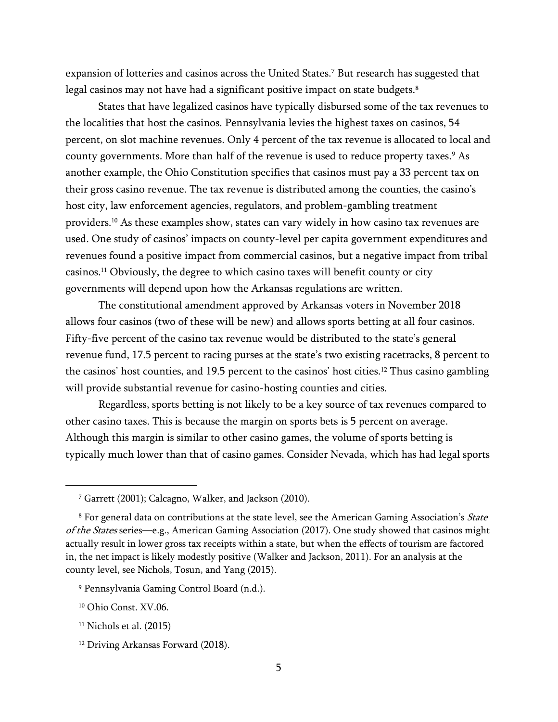expansion of lotteries and casinos across the United States.<sup>7</sup> But research has suggested that legal casinos may not have had a significant positive impact on state budgets.<sup>8</sup>

States that have legalized casinos have typically disbursed some of the tax revenues to the localities that host the casinos. Pennsylvania levies the highest taxes on casinos, 54 percent, on slot machine revenues. Only 4 percent of the tax revenue is allocated to local and county governments. More than half of the revenue is used to reduce property taxes.<sup>9</sup> As another example, the Ohio Constitution specifies that casinos must pay a 33 percent tax on their gross casino revenue. The tax revenue is distributed among the counties, the casino's host city, law enforcement agencies, regulators, and problem-gambling treatment providers. <sup>10</sup> As these examples show, states can vary widely in how casino tax revenues are used. One study of casinos' impacts on county-level per capita government expenditures and revenues found a positive impact from commercial casinos, but a negative impact from tribal casinos.<sup>11</sup> Obviously, the degree to which casino taxes will benefit county or city governments will depend upon how the Arkansas regulations are written.

The constitutional amendment approved by Arkansas voters in November 2018 allows four casinos (two of these will be new) and allows sports betting at all four casinos. Fifty-five percent of the casino tax revenue would be distributed to the state's general revenue fund, 17.5 percent to racing purses at the state's two existing racetracks, 8 percent to the casinos' host counties, and 19.5 percent to the casinos' host cities.<sup>12</sup> Thus casino gambling will provide substantial revenue for casino-hosting counties and cities.

Regardless, sports betting is not likely to be a key source of tax revenues compared to other casino taxes. This is because the margin on sports bets is 5 percent on average. Although this margin is similar to other casino games, the volume of sports betting is typically much lower than that of casino games. Consider Nevada, which has had legal sports

<sup>7</sup> Garrett (2001); Calcagno, Walker, and Jackson (2010).

<sup>&</sup>lt;sup>8</sup> For general data on contributions at the state level, see the American Gaming Association's State of the States series—e.g., American Gaming Association (2017). One study showed that casinos might actually result in lower gross tax receipts within a state, but when the effects of tourism are factored in, the net impact is likely modestly positive (Walker and Jackson, 2011). For an analysis at the county level, see Nichols, Tosun, and Yang (2015).

<sup>9</sup> Pennsylvania Gaming Control Board (n.d.).

<sup>10</sup> Ohio Const. XV.06.

 $11$  Nichols et al. (2015)

<sup>&</sup>lt;sup>12</sup> Driving Arkansas Forward (2018).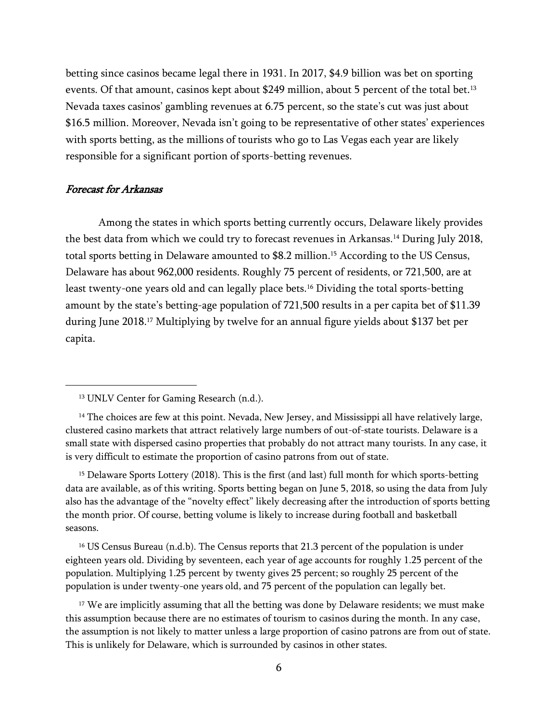betting since casinos became legal there in 1931. In 2017, \$4.9 billion was bet on sporting events. Of that amount, casinos kept about \$249 million, about 5 percent of the total bet.<sup>13</sup> Nevada taxes casinos' gambling revenues at 6.75 percent, so the state's cut was just about \$16.5 million. Moreover, Nevada isn't going to be representative of other states' experiences with sports betting, as the millions of tourists who go to Las Vegas each year are likely responsible for a significant portion of sports-betting revenues.

#### Forecast for Arkansas

 $\overline{a}$ 

Among the states in which sports betting currently occurs, Delaware likely provides the best data from which we could try to forecast revenues in Arkansas.<sup>14</sup> During July 2018, total sports betting in Delaware amounted to \$8.2 million.<sup>15</sup> According to the US Census, Delaware has about 962,000 residents. Roughly 75 percent of residents, or 721,500, are at least twenty-one years old and can legally place bets.<sup>16</sup> Dividing the total sports-betting amount by the state's betting-age population of 721,500 results in a per capita bet of \$11.39 during June 2018.<sup>17</sup> Multiplying by twelve for an annual figure yields about \$137 bet per capita.

<sup>15</sup> Delaware Sports Lottery (2018). This is the first (and last) full month for which sports-betting data are available, as of this writing. Sports betting began on June 5, 2018, so using the data from July also has the advantage of the "novelty effect" likely decreasing after the introduction of sports betting the month prior. Of course, betting volume is likely to increase during football and basketball seasons.

<sup>16</sup> US Census Bureau  $(n.d.b)$ . The Census reports that 21.3 percent of the population is under eighteen years old. Dividing by seventeen, each year of age accounts for roughly 1.25 percent of the population. Multiplying 1.25 percent by twenty gives 25 percent; so roughly 25 percent of the population is under twenty-one years old, and 75 percent of the population can legally bet.

<sup>17</sup> We are implicitly assuming that all the betting was done by Delaware residents; we must make this assumption because there are no estimates of tourism to casinos during the month. In any case, the assumption is not likely to matter unless a large proportion of casino patrons are from out of state. This is unlikely for Delaware, which is surrounded by casinos in other states.

<sup>&</sup>lt;sup>13</sup> UNLV Center for Gaming Research (n.d.).

<sup>&</sup>lt;sup>14</sup> The choices are few at this point. Nevada, New Jersey, and Mississippi all have relatively large, clustered casino markets that attract relatively large numbers of out-of-state tourists. Delaware is a small state with dispersed casino properties that probably do not attract many tourists. In any case, it is very difficult to estimate the proportion of casino patrons from out of state.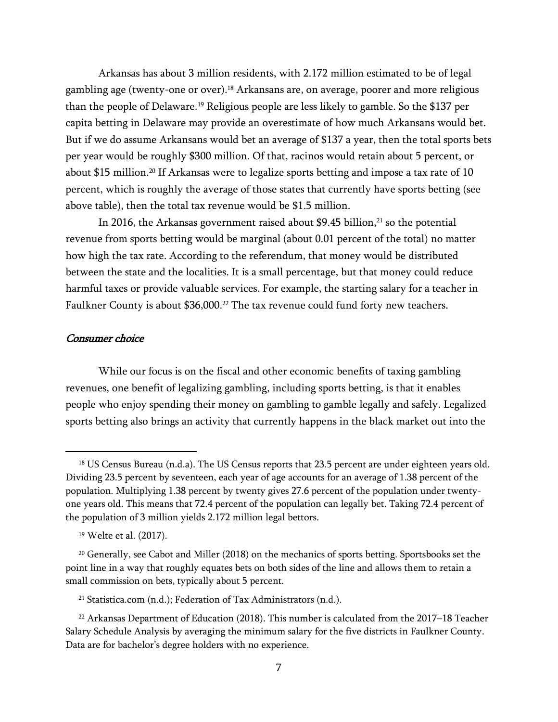Arkansas has about 3 million residents, with 2.172 million estimated to be of legal gambling age (twenty-one or over).<sup>18</sup> Arkansans are, on average, poorer and more religious than the people of Delaware.<sup>19</sup> Religious people are less likely to gamble. So the \$137 per capita betting in Delaware may provide an overestimate of how much Arkansans would bet. But if we do assume Arkansans would bet an average of \$137 a year, then the total sports bets per year would be roughly \$300 million. Of that, racinos would retain about 5 percent, or about \$15 million.<sup>20</sup> If Arkansas were to legalize sports betting and impose a tax rate of 10 percent, which is roughly the average of those states that currently have sports betting (see above table), then the total tax revenue would be \$1.5 million.

In 2016, the Arkansas government raised about  $$9.45$  billion,<sup>21</sup> so the potential revenue from sports betting would be marginal (about 0.01 percent of the total) no matter how high the tax rate. According to the referendum, that money would be distributed between the state and the localities. It is a small percentage, but that money could reduce harmful taxes or provide valuable services. For example, the starting salary for a teacher in Faulkner County is about \$36,000.<sup>22</sup> The tax revenue could fund forty new teachers.

#### Consumer choice

 $\overline{a}$ 

While our focus is on the fiscal and other economic benefits of taxing gambling revenues, one benefit of legalizing gambling, including sports betting, is that it enables people who enjoy spending their money on gambling to gamble legally and safely. Legalized sports betting also brings an activity that currently happens in the black market out into the

<sup>21</sup> Statistica.com (n.d.); Federation of Tax Administrators (n.d.).

<sup>&</sup>lt;sup>18</sup> US Census Bureau (n.d.a). The US Census reports that 23.5 percent are under eighteen years old. Dividing 23.5 percent by seventeen, each year of age accounts for an average of 1.38 percent of the population. Multiplying 1.38 percent by twenty gives 27.6 percent of the population under twentyone years old. This means that 72.4 percent of the population can legally bet. Taking 72.4 percent of the population of 3 million yields 2.172 million legal bettors.

<sup>19</sup> Welte et al. (2017).

<sup>20</sup> Generally, see Cabot and Miller (2018) on the mechanics of sports betting. Sportsbooks set the point line in a way that roughly equates bets on both sides of the line and allows them to retain a small commission on bets, typically about 5 percent.

<sup>&</sup>lt;sup>22</sup> Arkansas Department of Education (2018). This number is calculated from the 2017–18 Teacher Salary Schedule Analysis by averaging the minimum salary for the five districts in Faulkner County. Data are for bachelor's degree holders with no experience.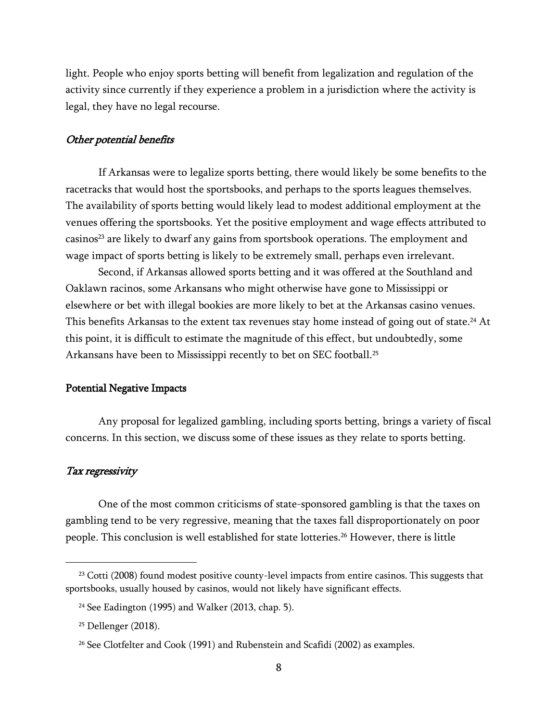light. People who enjoy sports betting will benefit from legalization and regulation of the activity since currently if they experience a problem in a jurisdiction where the activity is legal, they have no legal recourse.

#### Other potential benefits

If Arkansas were to legalize sports betting, there would likely be some benefits to the racetracks that would host the sportsbooks, and perhaps to the sports leagues themselves. The availability of sports betting would likely lead to modest additional employment at the venues offering the sportsbooks. Yet the positive employment and wage effects attributed to casinos<sup>23</sup> are likely to dwarf any gains from sportsbook operations. The employment and wage impact of sports betting is likely to be extremely small, perhaps even irrelevant.

Second, if Arkansas allowed sports betting and it was offered at the Southland and Oaklawn racinos, some Arkansans who might otherwise have gone to Mississippi or elsewhere or bet with illegal bookies are more likely to bet at the Arkansas casino venues. This benefits Arkansas to the extent tax revenues stay home instead of going out of state.<sup>24</sup> At this point, it is difficult to estimate the magnitude of this effect, but undoubtedly, some Arkansans have been to Mississippi recently to bet on SEC football.<sup>25</sup>

#### Potential Negative Impacts

Any proposal for legalized gambling, including sports betting, brings a variety of fiscal concerns. In this section, we discuss some of these issues as they relate to sports betting.

### Tax regressivity

 $\overline{a}$ 

One of the most common criticisms of state-sponsored gambling is that the taxes on gambling tend to be very regressive, meaning that the taxes fall disproportionately on poor people. This conclusion is well established for state lotteries.<sup>26</sup> However, there is little

<sup>&</sup>lt;sup>23</sup> Cotti (2008) found modest positive county-level impacts from entire casinos. This suggests that sportsbooks, usually housed by casinos, would not likely have significant effects.

<sup>24</sup> See Eadington (1995) and Walker (2013, chap. 5).

<sup>25</sup> Dellenger (2018).

<sup>26</sup> See Clotfelter and Cook (1991) and Rubenstein and Scafidi (2002) as examples.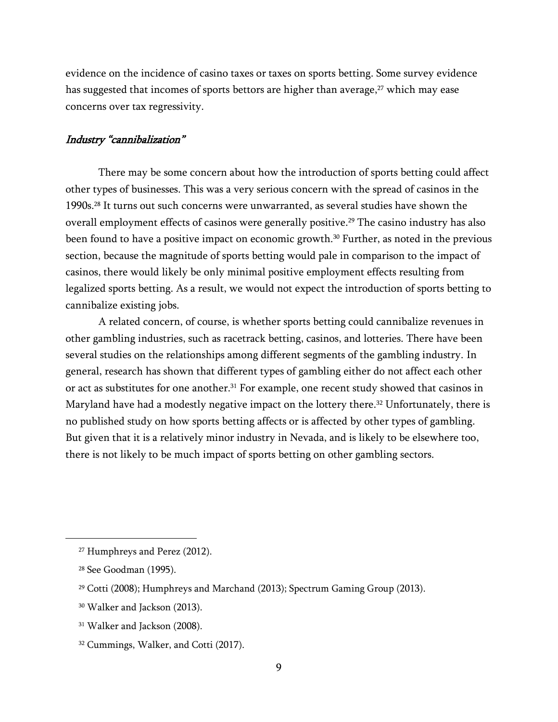evidence on the incidence of casino taxes or taxes on sports betting. Some survey evidence has suggested that incomes of sports bettors are higher than average,<sup>27</sup> which may ease concerns over tax regressivity.

#### Industry "cannibalization"

There may be some concern about how the introduction of sports betting could affect other types of businesses. This was a very serious concern with the spread of casinos in the 1990s.<sup>28</sup> It turns out such concerns were unwarranted, as several studies have shown the overall employment effects of casinos were generally positive.<sup>29</sup> The casino industry has also been found to have a positive impact on economic growth.<sup>30</sup> Further, as noted in the previous section, because the magnitude of sports betting would pale in comparison to the impact of casinos, there would likely be only minimal positive employment effects resulting from legalized sports betting. As a result, we would not expect the introduction of sports betting to cannibalize existing jobs.

A related concern, of course, is whether sports betting could cannibalize revenues in other gambling industries, such as racetrack betting, casinos, and lotteries. There have been several studies on the relationships among different segments of the gambling industry. In general, research has shown that different types of gambling either do not affect each other or act as substitutes for one another. <sup>31</sup> For example, one recent study showed that casinos in Maryland have had a modestly negative impact on the lottery there.<sup>32</sup> Unfortunately, there is no published study on how sports betting affects or is affected by other types of gambling. But given that it is a relatively minor industry in Nevada, and is likely to be elsewhere too, there is not likely to be much impact of sports betting on other gambling sectors.

<sup>27</sup> Humphreys and Perez (2012).

<sup>28</sup> See Goodman (1995).

<sup>29</sup> Cotti (2008); Humphreys and Marchand (2013); Spectrum Gaming Group (2013).

<sup>30</sup> Walker and Jackson (2013).

<sup>&</sup>lt;sup>31</sup> Walker and Jackson (2008).

<sup>32</sup> Cummings, Walker, and Cotti (2017).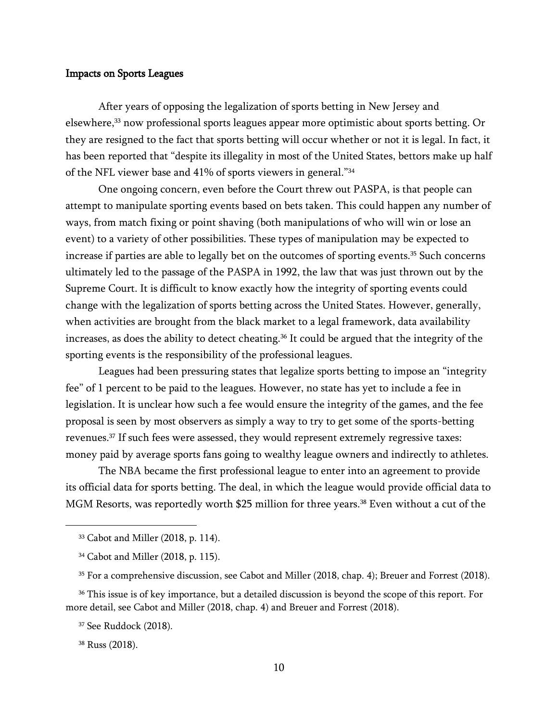# Impacts on Sports Leagues

After years of opposing the legalization of sports betting in New Jersey and elsewhere,<sup>33</sup> now professional sports leagues appear more optimistic about sports betting. Or they are resigned to the fact that sports betting will occur whether or not it is legal. In fact, it has been reported that "despite its illegality in most of the United States, bettors make up half of the NFL viewer base and 41% of sports viewers in general."<sup>34</sup>

One ongoing concern, even before the Court threw out PASPA, is that people can attempt to manipulate sporting events based on bets taken. This could happen any number of ways, from match fixing or point shaving (both manipulations of who will win or lose an event) to a variety of other possibilities. These types of manipulation may be expected to increase if parties are able to legally bet on the outcomes of sporting events.<sup>35</sup> Such concerns ultimately led to the passage of the PASPA in 1992, the law that was just thrown out by the Supreme Court. It is difficult to know exactly how the integrity of sporting events could change with the legalization of sports betting across the United States. However, generally, when activities are brought from the black market to a legal framework, data availability increases, as does the ability to detect cheating.<sup>36</sup> It could be argued that the integrity of the sporting events is the responsibility of the professional leagues.

Leagues had been pressuring states that legalize sports betting to impose an "integrity fee" of 1 percent to be paid to the leagues. However, no state has yet to include a fee in legislation. It is unclear how such a fee would ensure the integrity of the games, and the fee proposal is seen by most observers as simply a way to try to get some of the sports-betting revenues.<sup>37</sup> If such fees were assessed, they would represent extremely regressive taxes: money paid by average sports fans going to wealthy league owners and indirectly to athletes.

The NBA became the first professional league to enter into an agreement to provide its official data for sports betting. The deal, in which the league would provide official data to MGM Resorts, was reportedly worth \$25 million for three years.<sup>38</sup> Even without a cut of the

<sup>37</sup> See Ruddock (2018).

<sup>33</sup> Cabot and Miller (2018, p. 114).

<sup>34</sup> Cabot and Miller (2018, p. 115).

<sup>35</sup> For a comprehensive discussion, see Cabot and Miller (2018, chap. 4); Breuer and Forrest (2018).

<sup>&</sup>lt;sup>36</sup> This issue is of key importance, but a detailed discussion is beyond the scope of this report. For more detail, see Cabot and Miller (2018, chap. 4) and Breuer and Forrest (2018).

<sup>38</sup> Russ (2018).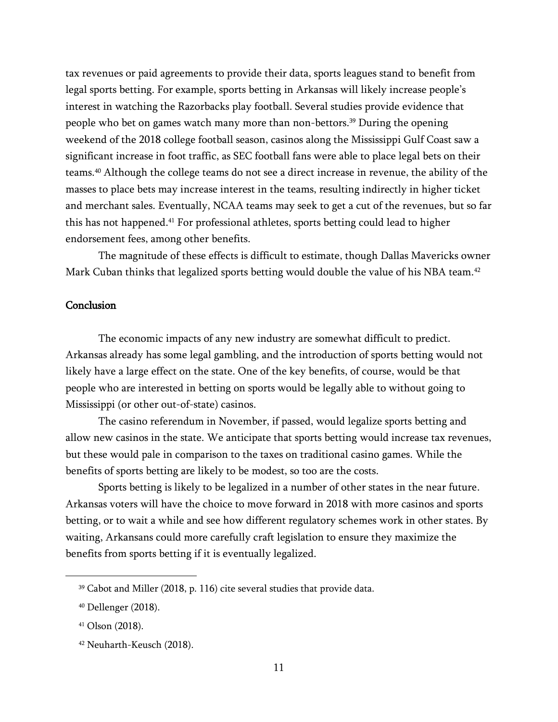tax revenues or paid agreements to provide their data, sports leagues stand to benefit from legal sports betting. For example, sports betting in Arkansas will likely increase people's interest in watching the Razorbacks play football. Several studies provide evidence that people who bet on games watch many more than non-bettors.<sup>39</sup> During the opening weekend of the 2018 college football season, casinos along the Mississippi Gulf Coast saw a significant increase in foot traffic, as SEC football fans were able to place legal bets on their teams.<sup>40</sup> Although the college teams do not see a direct increase in revenue, the ability of the masses to place bets may increase interest in the teams, resulting indirectly in higher ticket and merchant sales. Eventually, NCAA teams may seek to get a cut of the revenues, but so far this has not happened.<sup>41</sup> For professional athletes, sports betting could lead to higher endorsement fees, among other benefits.

The magnitude of these effects is difficult to estimate, though Dallas Mavericks owner Mark Cuban thinks that legalized sports betting would double the value of his NBA team.<sup>42</sup>

#### **Conclusion**

The economic impacts of any new industry are somewhat difficult to predict. Arkansas already has some legal gambling, and the introduction of sports betting would not likely have a large effect on the state. One of the key benefits, of course, would be that people who are interested in betting on sports would be legally able to without going to Mississippi (or other out-of-state) casinos.

The casino referendum in November, if passed, would legalize sports betting and allow new casinos in the state. We anticipate that sports betting would increase tax revenues, but these would pale in comparison to the taxes on traditional casino games. While the benefits of sports betting are likely to be modest, so too are the costs.

Sports betting is likely to be legalized in a number of other states in the near future. Arkansas voters will have the choice to move forward in 2018 with more casinos and sports betting, or to wait a while and see how different regulatory schemes work in other states. By waiting, Arkansans could more carefully craft legislation to ensure they maximize the benefits from sports betting if it is eventually legalized.

<sup>39</sup> Cabot and Miller (2018, p. 116) cite several studies that provide data.

<sup>40</sup> Dellenger (2018).

<sup>41</sup> Olson (2018).

<sup>42</sup> Neuharth-Keusch (2018).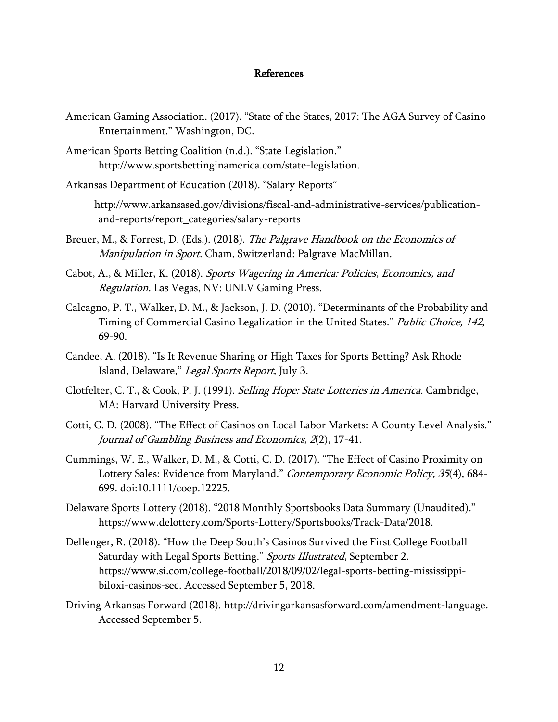## References

- American Gaming Association. (2017). "State of the States, 2017: The AGA Survey of Casino Entertainment." Washington, DC.
- American Sports Betting Coalition (n.d.). "State Legislation." http://www.sportsbettinginamerica.com/state-legislation.
- Arkansas Department of Education (2018). "Salary Reports"

http://www.arkansased.gov/divisions/fiscal-and-administrative-services/publicationand-reports/report\_categories/salary-reports

- Breuer, M., & Forrest, D. (Eds.). (2018). The Palgrave Handbook on the Economics of Manipulation in Sport. Cham, Switzerland: Palgrave MacMillan.
- Cabot, A., & Miller, K. (2018). Sports Wagering in America: Policies, Economics, and Regulation. Las Vegas, NV: UNLV Gaming Press.
- Calcagno, P. T., Walker, D. M., & Jackson, J. D. (2010). "Determinants of the Probability and Timing of Commercial Casino Legalization in the United States." Public Choice, 142, 69-90.
- Candee, A. (2018). "Is It Revenue Sharing or High Taxes for Sports Betting? Ask Rhode Island, Delaware," Legal Sports Report, July 3.
- Clotfelter, C. T., & Cook, P. J. (1991). Selling Hope: State Lotteries in America. Cambridge, MA: Harvard University Press.
- Cotti, C. D. (2008). "The Effect of Casinos on Local Labor Markets: A County Level Analysis." Journal of Gambling Business and Economics, 2(2), 17-41.
- Cummings, W. E., Walker, D. M., & Cotti, C. D. (2017). "The Effect of Casino Proximity on Lottery Sales: Evidence from Maryland." Contemporary Economic Policy, 35(4), 684-699. doi:10.1111/coep.12225.
- Delaware Sports Lottery (2018). "2018 Monthly Sportsbooks Data Summary (Unaudited)." https://www.delottery.com/Sports-Lottery/Sportsbooks/Track-Data/2018.
- Dellenger, R. (2018). "How the Deep South's Casinos Survived the First College Football Saturday with Legal Sports Betting." Sports Illustrated, September 2. https://www.si.com/college-football/2018/09/02/legal-sports-betting-mississippibiloxi-casinos-sec. Accessed September 5, 2018.
- Driving Arkansas Forward (2018). http://drivingarkansasforward.com/amendment-language. Accessed September 5.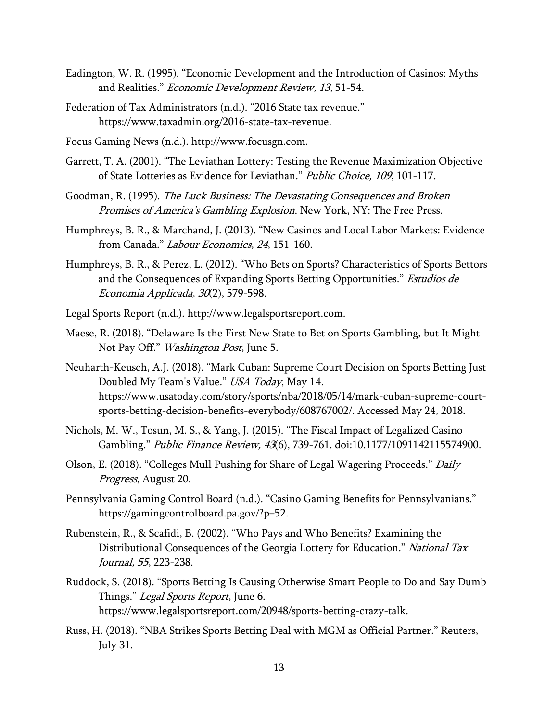- Eadington, W. R. (1995). "Economic Development and the Introduction of Casinos: Myths and Realities." Economic Development Review, 13, 51-54.
- Federation of Tax Administrators (n.d.). "2016 State tax revenue." https://www.taxadmin.org/2016-state-tax-revenue.
- Focus Gaming News (n.d.). http://www.focusgn.com.
- Garrett, T. A. (2001). "The Leviathan Lottery: Testing the Revenue Maximization Objective of State Lotteries as Evidence for Leviathan." Public Choice, 109, 101-117.
- Goodman, R. (1995). The Luck Business: The Devastating Consequences and Broken Promises of America's Gambling Explosion. New York, NY: The Free Press.
- Humphreys, B. R., & Marchand, J. (2013). "New Casinos and Local Labor Markets: Evidence from Canada." Labour Economics, 24, 151-160.
- Humphreys, B. R., & Perez, L. (2012). "Who Bets on Sports? Characteristics of Sports Bettors and the Consequences of Expanding Sports Betting Opportunities." Estudios de Economia Applicada, 30(2), 579-598.
- Legal Sports Report (n.d.). http://www.legalsportsreport.com.
- Maese, R. (2018). "Delaware Is the First New State to Bet on Sports Gambling, but It Might Not Pay Off." Washington Post, June 5.
- Neuharth-Keusch, A.J. (2018). "Mark Cuban: Supreme Court Decision on Sports Betting Just Doubled My Team's Value." USA Today, May 14. https://www.usatoday.com/story/sports/nba/2018/05/14/mark-cuban-supreme-courtsports-betting-decision-benefits-everybody/608767002/. Accessed May 24, 2018.
- Nichols, M. W., Tosun, M. S., & Yang, J. (2015). "The Fiscal Impact of Legalized Casino Gambling." Public Finance Review, 43(6), 739-761. doi:10.1177/1091142115574900.
- Olson, E. (2018). "Colleges Mull Pushing for Share of Legal Wagering Proceeds." Daily Progress, August 20.
- Pennsylvania Gaming Control Board (n.d.). "Casino Gaming Benefits for Pennsylvanians." https://gamingcontrolboard.pa.gov/?p=52.
- Rubenstein, R., & Scafidi, B. (2002). "Who Pays and Who Benefits? Examining the Distributional Consequences of the Georgia Lottery for Education." National Tax Journal, 55, 223-238.
- Ruddock, S. (2018). "Sports Betting Is Causing Otherwise Smart People to Do and Say Dumb Things." Legal Sports Report, June 6. https://www.legalsportsreport.com/20948/sports-betting-crazy-talk.
- Russ, H. (2018). "NBA Strikes Sports Betting Deal with MGM as Official Partner." Reuters, July 31.